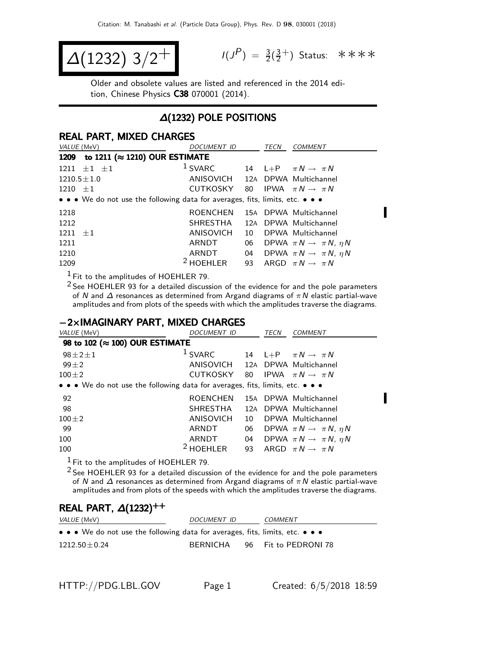$$
\Delta(1232) \frac{3}{2}^{+}
$$

 $P$ ) =  $\frac{3}{2}(\frac{3}{2})$  $\frac{3}{2}^+$ ) Status: \*\*\*\*

J.

Π

Older and obsolete values are listed and referenced in the 2014 edition, Chinese Physics C38 070001 (2014).

### ∆(1232) POLE POSITIONS

#### REAL PART, MIXED CHARGES

| VALUE (MeV)                                                                   | <b>DOCUMENT ID</b>              |    | <b>TECN</b> | <b>COMMENT</b>                            |
|-------------------------------------------------------------------------------|---------------------------------|----|-------------|-------------------------------------------|
| to 1211 ( $\approx$ 1210) OUR ESTIMATE<br>1209                                |                                 |    |             |                                           |
| $1211 \pm 1 \pm 1$                                                            | $1$ SVARC                       |    |             | 14 L+P $\pi N \rightarrow \pi N$          |
| $1210.5 \pm 1.0$                                                              | ANISOVICH 12A DPWA Multichannel |    |             |                                           |
| $1210 \pm 1$                                                                  | CUTKOSKY 80                     |    |             | IPWA $\pi N \rightarrow \pi N$            |
| • • • We do not use the following data for averages, fits, limits, etc. • • • |                                 |    |             |                                           |
| 1218                                                                          | <b>ROENCHEN</b>                 |    |             | 15A DPWA Multichannel                     |
| 1212                                                                          | SHRESTHA                        |    |             | 12A DPWA Multichannel                     |
| $1211 \pm 1$                                                                  | ANISOVICH                       | 10 |             | DPWA Multichannel                         |
| 1211                                                                          | ARNDT                           | 06 |             | DPWA $\pi N \rightarrow \pi N$ , $\eta N$ |
| 1210                                                                          | ARNDT                           | 04 |             | DPWA $\pi N \rightarrow \pi N$ , $\eta N$ |
| 1209                                                                          | $2$ HOEHLER                     | 93 |             | ARGD $\pi N \rightarrow \pi N$            |

 $<sup>1</sup>$  Fit to the amplitudes of HOEHLER 79.</sup>

2 See HOEHLER 93 for a detailed discussion of the evidence for and the pole parameters of N and  $\Delta$  resonances as determined from Argand diagrams of  $\pi N$  elastic partial-wave amplitudes and from plots of the speeds with which the amplitudes traverse the diagrams.

#### −2×IMAGINARY PART, MIXED CHARGES

| VALUE (MeV)                                                                   | DOCUMENT ID     |    | TECN | <b>COMMENT</b>                            |
|-------------------------------------------------------------------------------|-----------------|----|------|-------------------------------------------|
| 98 to 102 ( $\approx$ 100) OUR ESTIMATE                                       |                 |    |      |                                           |
| $98 \pm 2 \pm 1$                                                              | $1$ SVARC       |    |      | 14 L+P $\pi N \rightarrow \pi N$          |
| $99 + 2$                                                                      | ANISOVICH       |    |      | 12A DPWA Multichannel                     |
| $100 \pm 2$                                                                   | CUTKOSKY        | 80 |      | IPWA $\pi N \rightarrow \pi N$            |
| • • • We do not use the following data for averages, fits, limits, etc. • • • |                 |    |      |                                           |
| 92                                                                            | <b>ROENCHEN</b> |    |      | 15A DPWA Multichannel                     |
| 98                                                                            | SHRESTHA        |    |      | 12A DPWA Multichannel                     |
| $100 \pm 2$                                                                   | ANISOVICH       | 10 |      | DPWA Multichannel                         |
| 99                                                                            | ARNDT           | 06 |      | DPWA $\pi N \rightarrow \pi N$ , $\eta N$ |
| 100                                                                           | ARNDT           | 04 |      | DPWA $\pi N \rightarrow \pi N$ , $\eta N$ |
| 100                                                                           | $2$ HOEHLER     | 93 |      | ARGD $\pi N \rightarrow \pi N$            |

1 Fit to the amplitudes of HOEHLER 79.

 $2$  See HOEHLER 93 for a detailed discussion of the evidence for and the pole parameters of N and  $\Delta$  resonances as determined from Argand diagrams of  $\pi N$  elastic partial-wave amplitudes and from plots of the speeds with which the amplitudes traverse the diagrams.

#### REAL PART,  $\Delta(1232)^{++}$

| <i>VALUE</i> (MeV)                                                            | DOCUMENT ID | COMMENT              |
|-------------------------------------------------------------------------------|-------------|----------------------|
| • • • We do not use the following data for averages, fits, limits, etc. • • • |             |                      |
| $1212.50 \pm 0.24$                                                            | BERNICHA    | 96 Fit to PEDRONI 78 |

HTTP://PDG.LBL.GOV Page 1 Created: 6/5/2018 18:59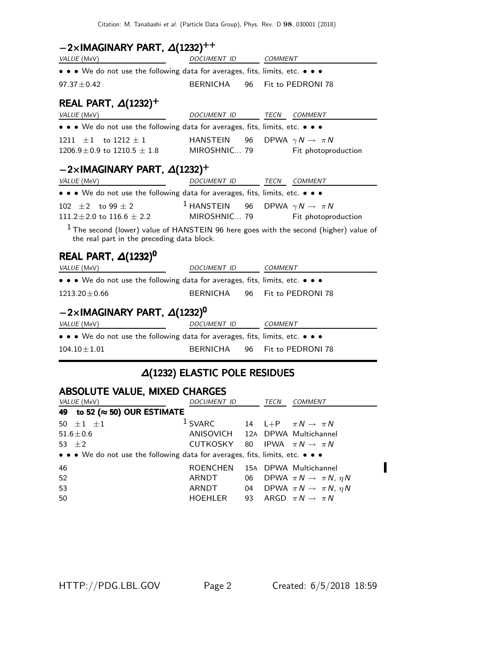### $-2\times$ IMAGINARY PART,  $\Delta(1232)^{++}$

| VALUE (MeV)                                                                                                                           | DOCUMENT ID                                        | COMMENT        |                                   |
|---------------------------------------------------------------------------------------------------------------------------------------|----------------------------------------------------|----------------|-----------------------------------|
| • • • We do not use the following data for averages, fits, limits, etc. • • •                                                         |                                                    |                |                                   |
| $97.37 \pm 0.42$                                                                                                                      | BERNICHA<br>96                                     |                | Fit to PEDRONI 78                 |
| REAL PART, $\Delta(1232)^+$                                                                                                           |                                                    |                |                                   |
| VALUE (MeV)                                                                                                                           | DOCUMENT ID                                        | TECN           | COMMENT                           |
| • • • We do not use the following data for averages, fits, limits, etc. • • •                                                         |                                                    |                |                                   |
| 1211 $\pm 1$ to 1212 $\pm 1$                                                                                                          | HANSTEIN                                           | 96             | DPWA $\gamma N \rightarrow \pi N$ |
| $1206.9 \pm 0.9$ to $1210.5 \pm 1.8$ MIROSHNIC 79                                                                                     |                                                    |                | Fit photoproduction               |
| $-2\times$ IMAGINARY PART, $\Delta(1232)^+$                                                                                           |                                                    |                |                                   |
| VALUE (MeV)                                                                                                                           | DOCUMENT ID TECN COMMENT                           |                |                                   |
| • • • We do not use the following data for averages, fits, limits, etc. • • •                                                         |                                                    |                |                                   |
| 102 $\pm$ 2 to 99 $\pm$ 2                                                                                                             | <sup>1</sup> HANSTEIN 96 DPWA $\gamma N \to \pi N$ |                |                                   |
| $111.2\pm2.0$ to $116.6\pm2.2$                                                                                                        | MIROSHNIC 79                                       |                | Fit photoproduction               |
| $1$ The second (lower) value of HANSTEIN 96 here goes with the second (higher) value of<br>the real part in the preceding data block. |                                                    |                |                                   |
| REAL PART, $\Delta(1232)^{0}$                                                                                                         |                                                    |                |                                   |
| VALUE (MeV)                                                                                                                           | DOCUMENT ID                                        | COMMENT        |                                   |
| • • • We do not use the following data for averages, fits, limits, etc. • • •                                                         |                                                    |                |                                   |
| $1213.20 \pm 0.66$                                                                                                                    | BERNICHA                                           |                | 96 Fit to PEDRONI 78              |
| $-2\times$ IMAGINARY PART, $\Delta(1232)^{0}$                                                                                         |                                                    |                |                                   |
| <i>VALUE</i> (MeV)                                                                                                                    | DOCUMENT ID                                        | <b>COMMENT</b> |                                   |
| • • • We do not use the following data for averages, fits, limits, etc. • • •                                                         |                                                    |                |                                   |
| $104.10 \pm 1.01$                                                                                                                     | <b>BERNICHA</b><br>96                              |                | Fit to PEDRONI 78                 |
|                                                                                                                                       |                                                    |                |                                   |

## ∆(1232) ELASTIC POLE RESIDUES

| <b>ABSOLUTE VALUE, MIXED CHARGES</b>                                          |                                            |  |      |                                              |  |
|-------------------------------------------------------------------------------|--------------------------------------------|--|------|----------------------------------------------|--|
| VALUE (MeV)                                                                   | <b>DOCUMENT ID</b>                         |  | TECN | <b>COMMENT</b>                               |  |
| 49 to 52 ( $\approx$ 50) OUR ESTIMATE                                         |                                            |  |      |                                              |  |
| 50 $\pm 1$ $\pm 1$                                                            | <sup>1</sup> SVARC                         |  |      | 14 L+P $\pi N \rightarrow \pi N$             |  |
| $51.6 \pm 0.6$                                                                | ANISOVICH 12A DPWA Multichannel            |  |      |                                              |  |
| 53 $+2$                                                                       | CUTKOSKY 80 IPWA $\pi N \rightarrow \pi N$ |  |      |                                              |  |
| • • • We do not use the following data for averages, fits, limits, etc. • • • |                                            |  |      |                                              |  |
| 46                                                                            | <b>ROENCHEN</b>                            |  |      | 15A DPWA Multichannel                        |  |
| 52                                                                            | ARNDT                                      |  |      | 06 DPWA $\pi N \rightarrow \pi N$ , $\eta N$ |  |
| 53                                                                            | ARNDT                                      |  |      | 04 DPWA $\pi N \rightarrow \pi N$ , $\eta N$ |  |
| 50                                                                            | <b>HOEHLER</b>                             |  |      | 93 ARGD $\pi N \rightarrow \pi N$            |  |

HTTP://PDG.LBL.GOV Page 2 Created: 6/5/2018 18:59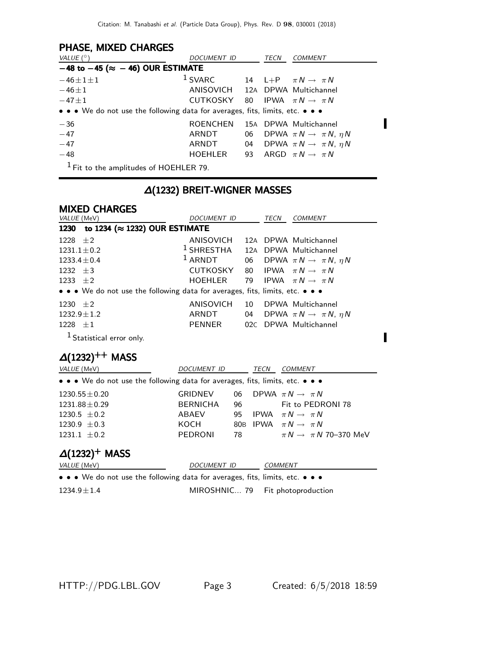### PHASE, MIXED CHARGES

| VALUE $(^\circ)$                                                              | DOCUMENT ID                     |    | TECN | <b>COMMENT</b>                            |
|-------------------------------------------------------------------------------|---------------------------------|----|------|-------------------------------------------|
| $-48$ to $-45$ ( $\approx -46$ ) OUR ESTIMATE                                 |                                 |    |      |                                           |
| $-46 \pm 1 \pm 1$                                                             | $1$ SVARC                       |    |      | 14 L+P $\pi N \rightarrow \pi N$          |
| $-46 \pm 1$                                                                   | ANISOVICH 12A DPWA Multichannel |    |      |                                           |
| $-47 \pm 1$                                                                   | CUTKOSKY 80                     |    |      | IPWA $\pi N \rightarrow \pi N$            |
| • • • We do not use the following data for averages, fits, limits, etc. • • • |                                 |    |      |                                           |
| $-36$                                                                         | <b>ROENCHEN</b>                 |    |      | 15A DPWA Multichannel                     |
| $-47$                                                                         | ARNDT                           | 06 |      | DPWA $\pi N \rightarrow \pi N$ , $\eta N$ |
| $-47$                                                                         | ARNDT                           | 04 |      | DPWA $\pi N \rightarrow \pi N$ , $\eta N$ |
| $-48$                                                                         | HOEHLER                         | 93 |      | ARGD $\pi N \rightarrow \pi N$            |
| $1$ Fit to the amplitudes of HOEHLER 79.                                      |                                 |    |      |                                           |

### ∆(1232) BREIT-WIGNER MASSES

| <b>MIXED CHARGES</b>                                                          |                                             |      |                                              |
|-------------------------------------------------------------------------------|---------------------------------------------|------|----------------------------------------------|
| VALUE (MeV)                                                                   | DOCUMENT ID                                 | TECN | <b>COMMENT</b>                               |
| 1230 to 1234 (≈ 1232) OUR ESTIMATE                                            |                                             |      |                                              |
| 1228 $\pm 2$                                                                  | ANISOVICH                                   |      | 12A DPWA Multichannel                        |
| $1231.1 \pm 0.2$                                                              | <sup>1</sup> SHRESTHA 12A DPWA Multichannel |      |                                              |
| $1233.4 \pm 0.4$                                                              | $1$ ARNDT                                   |      | 06 DPWA $\pi N \rightarrow \pi N$ , $\eta N$ |
| $1232 + 3$                                                                    | CUTKOSKY                                    |      | 80 IPWA $\pi N \rightarrow \pi N$            |
| $1233 + 2$                                                                    | HOEHLER                                     |      | 79 IPWA $\pi N \rightarrow \pi N$            |
| • • • We do not use the following data for averages, fits, limits, etc. • • • |                                             |      |                                              |
| 1230 $\pm 2$                                                                  | ANISOVICH                                   |      | 10 DPWA Multichannel                         |
| $1232.9 \pm 1.2$                                                              | ARNDT                                       |      | 04 DPWA $\pi N \rightarrow \pi N$ , $\eta N$ |
| $1228 \pm 1$                                                                  | PENNER                                      |      | 02C DPWA Multichannel                        |
|                                                                               |                                             |      |                                              |

<sup>1</sup> Statistical error only.

# $\Delta(1232)^{++}$  MASS

| <i>VALUE</i> (MeV)                                                            | DOCUMENT ID     |     | TECN | <b>COMMENT</b>                       |
|-------------------------------------------------------------------------------|-----------------|-----|------|--------------------------------------|
| • • • We do not use the following data for averages, fits, limits, etc. • • • |                 |     |      |                                      |
| $1230.55 \pm 0.20$                                                            | <b>GRIDNEV</b>  | 06. |      | DPWA $\pi N \rightarrow \pi N$       |
| $1231.88 \pm 0.29$                                                            | <b>BERNICHA</b> | 96  |      | Fit to PEDRONI 78                    |
| $1230.5 \pm 0.2$                                                              | ABAEV           | 95. |      | IPWA $\pi N \rightarrow \pi N$       |
| 1230.9 $\pm$ 0.3                                                              | KOCH            |     |      | 80B IPWA $\pi N \rightarrow \pi N$   |
| $1231.1 \pm 0.2$                                                              | <b>PEDRONI</b>  | 78  |      | $\pi N \rightarrow \pi N$ 70–370 MeV |

### $\Delta(1232)^+$  MASS

| <i>VALUE</i> (MeV)                                                            | <i>DOCUMENT ID</i>               | <i>COMMENT</i> |
|-------------------------------------------------------------------------------|----------------------------------|----------------|
| • • • We do not use the following data for averages, fits, limits, etc. • • • |                                  |                |
| $1234.9 + 1.4$                                                                | MIROSHNIC 79 Fit photoproduction |                |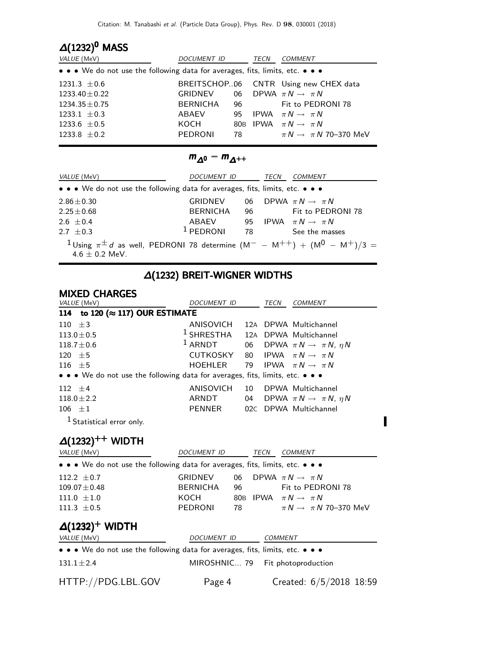# $\Delta(1232)^{0}$  MASS

| <i>VALUE</i> (MeV)                                                            | <i>DOCUMENT ID</i> |        | TECN | <i>COMMENT</i>                        |
|-------------------------------------------------------------------------------|--------------------|--------|------|---------------------------------------|
| • • • We do not use the following data for averages, fits, limits, etc. • • • |                    |        |      |                                       |
| $1231.3 \pm 0.6$                                                              |                    |        |      | BREITSCHOP06 CNTR Using new CHEX data |
| $1233.40 \pm 0.22$                                                            | GRIDNEV            |        |      | 06 DPWA $\pi N \rightarrow \pi N$     |
| $1234.35 \pm 0.75$                                                            | BERNICHA           | 96 —   |      | Fit to PEDRONI 78                     |
| 1233.1 $\pm$ 0.3                                                              | ABAEV              | 95     |      | IPWA $\pi N \rightarrow \pi N$        |
| 1233.6 $\pm 0.5$                                                              | KOCH               |        |      | 80B IPWA $\pi N \rightarrow \pi N$    |
| 1233.8 $\pm$ 0.2                                                              | <b>PEDRONI</b>     | 78 — 1 |      | $\pi N \rightarrow \pi N$ 70–370 MeV  |

### $m_{\Delta^0} - m_{\Delta^{++}}$

| <i>VALUE</i> (MeV)                                                                                                            | <i>DOCUMENT ID</i> |      | TECN | <b>COMMENT</b>                 |
|-------------------------------------------------------------------------------------------------------------------------------|--------------------|------|------|--------------------------------|
| • • • We do not use the following data for averages, fits, limits, etc. • • •                                                 |                    |      |      |                                |
| $2.86 \pm 0.30$                                                                                                               | GRIDNEV            | 06   |      | DPWA $\pi N \rightarrow \pi N$ |
| $2.25 \pm 0.68$                                                                                                               | <b>BERNICHA</b>    | 96   |      | Fit to PEDRONI 78              |
| 2.6 $\pm$ 0.4                                                                                                                 | ABAEV              | - 95 |      | IPWA $\pi N \rightarrow \pi N$ |
| $2.7 + 0.3$                                                                                                                   | $1$ PEDRONI        | 78   |      | See the masses                 |
| <sup>1</sup> Using $\pi^{\pm} d$ as well, PEDRONI 78 determine $(M^{-} - M^{++}) + (M^{0} - M^{+})/3 =$<br>4.6 $\pm$ 0.2 MeV. |                    |      |      |                                |

# ∆(1232) BREIT-WIGNER WIDTHS

#### MIXED CHARGES

| <i>VALUE</i> (MeV)                                                            | DOCUMENT ID                                 |    | TECN | <b>COMMENT</b>                            |
|-------------------------------------------------------------------------------|---------------------------------------------|----|------|-------------------------------------------|
| 114 to 120 (≈ 117) OUR ESTIMATE                                               |                                             |    |      |                                           |
| 110 $\pm 3$                                                                   | ANISOVICH                                   |    |      | 12A DPWA Multichannel                     |
| $113.0 \pm 0.5$                                                               | <sup>1</sup> SHRESTHA 12A DPWA Multichannel |    |      |                                           |
| $118.7 \pm 0.6$                                                               | $1$ ARNDT                                   | 06 |      | DPWA $\pi N \rightarrow \pi N$ , $\eta N$ |
| $120 \pm 5$                                                                   | CUTKOSKY                                    |    |      | 80 IPWA $\pi N \rightarrow \pi N$         |
| 116 $\pm$ 5                                                                   | HOEHLER                                     |    |      | 79 IPWA $\pi N \rightarrow \pi N$         |
| • • • We do not use the following data for averages, fits, limits, etc. • • • |                                             |    |      |                                           |
| $112 + 4$                                                                     | ANISOVICH                                   | 10 |      | DPWA Multichannel                         |
| $118.0 \pm 2.2$                                                               | ARNDT                                       | 04 |      | DPWA $\pi N \rightarrow \pi N$ , $\eta N$ |
| $106 \pm 1$                                                                   | <b>PENNER</b>                               |    |      | 02C DPWA Multichannel                     |
| <sup>1</sup> Statistical error only.                                          |                                             |    |      |                                           |
| $\Delta(1232)$<br>WIDTH                                                       |                                             |    |      |                                           |

 $\blacksquare$ 

| VALUE (MeV)                                                                   | DOCUMENT ID     |     | TECN | <b>COMMENT</b>                       |  |  |  |
|-------------------------------------------------------------------------------|-----------------|-----|------|--------------------------------------|--|--|--|
| • • • We do not use the following data for averages, fits, limits, etc. • • • |                 |     |      |                                      |  |  |  |
| 112.2 $\pm$ 0.7                                                               | <b>GRIDNEV</b>  | 06  |      | DPWA $\pi N \rightarrow \pi N$       |  |  |  |
| $109.07 \pm 0.48$                                                             | <b>BERNICHA</b> | 96  |      | Fit to PEDRONI 78                    |  |  |  |
| $111.0 \pm 1.0$                                                               | KOCH            | 80B |      | IPWA $\pi N \rightarrow \pi N$       |  |  |  |
| 111.3 $\pm 0.5$                                                               | <b>PEDRONI</b>  | 78  |      | $\pi N \rightarrow \pi N$ 70–370 MeV |  |  |  |
| $\Delta(1232)^+$ WIDTH                                                        |                 |     |      |                                      |  |  |  |
| VALUE (MeV)                                                                   | DOCUMENT ID     |     |      | COMMENT                              |  |  |  |
| • • • We do not use the following data for averages, fits, limits, etc. • • • |                 |     |      |                                      |  |  |  |
| $131.1 \pm 2.4$                                                               |                 |     |      | MIROSHNIC 79 Fit photoproduction     |  |  |  |
| HTTP://PDG.LBL.GOV                                                            | Page 4          |     |      | Created: $6/5/2018$ 18:59            |  |  |  |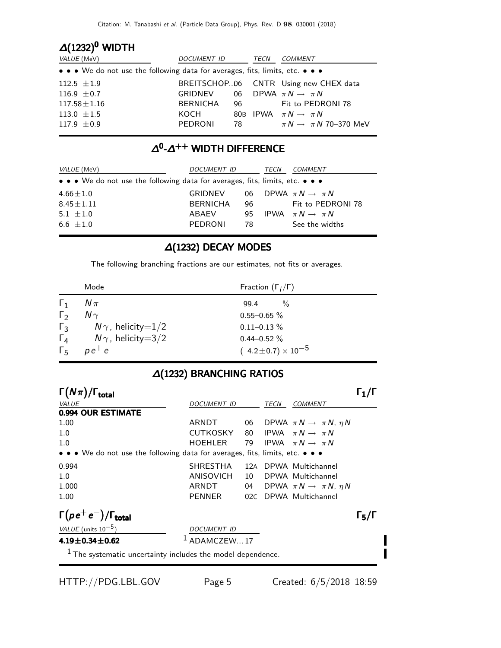| $\Delta(1232)^{0}$ WIDTH                                                      |                                           |        |      |                                       |  |  |  |
|-------------------------------------------------------------------------------|-------------------------------------------|--------|------|---------------------------------------|--|--|--|
| VALUE (MeV)                                                                   | <i>DOCUMENT ID</i>                        |        | TECN | <i>COMMENT</i>                        |  |  |  |
| • • • We do not use the following data for averages, fits, limits, etc. • • • |                                           |        |      |                                       |  |  |  |
| $112.5 \pm 1.9$                                                               |                                           |        |      | BREITSCHOP06 CNTR Using new CHEX data |  |  |  |
| 116.9 $\pm$ 0.7                                                               | GRIDNEV 06 DPWA $\pi N \rightarrow \pi N$ |        |      |                                       |  |  |  |
| $117.58 \pm 1.16$                                                             | BERNICHA 96                               |        |      | Fit to PEDRONI 78                     |  |  |  |
| 113.0 $\pm 1.5$                                                               | KOCH                                      |        |      | 80B IPWA $\pi N \rightarrow \pi N$    |  |  |  |
| 117.9 $\pm 0.9$                                                               | <b>PEDRONI</b>                            | 78 — 1 |      | $\pi N \rightarrow \pi N$ 70–370 MeV  |  |  |  |

### $\Delta^0$ - $\Delta^{++}$  WIDTH DIFFERENCE

| VALUE (MeV)                                                                   | DOCUMENT ID     |     | TECN | COMMENT                           |
|-------------------------------------------------------------------------------|-----------------|-----|------|-----------------------------------|
| • • • We do not use the following data for averages, fits, limits, etc. • • • |                 |     |      |                                   |
| $4.66 \pm 1.0$                                                                | GRIDNEV         |     |      | 06 DPWA $\pi N \rightarrow \pi N$ |
| $8.45 \pm 1.11$                                                               | <b>BERNICHA</b> | 96  |      | Fit to PEDRONI 78                 |
| 5.1 $\pm 1.0$                                                                 | ABAEV           | 95. |      | IPWA $\pi N \rightarrow \pi N$    |
| $6.6 + 1.0$                                                                   | PEDRONI         | 78. |      | See the widths                    |

### ∆(1232) DECAY MODES

The following branching fractions are our estimates, not fits or averages.

|              | Mode                         | Fraction $(\Gamma_i/\Gamma)$   |
|--------------|------------------------------|--------------------------------|
| $\mathbf{1}$ | $N\pi$                       | $\frac{0}{6}$<br>99.4          |
| $\Gamma_{2}$ | $N\gamma$                    | $0.55 - 0.65$ %                |
| $\Gamma_{3}$ | $N\gamma$ , helicity $=$ 1/2 | $0.11 - 0.13 \%$               |
| $\Gamma_{4}$ | $N\gamma$ , helicity $=3/2$  | $0.44 - 0.52 \%$               |
| $\Gamma_{5}$ | $p e^+ e^-$                  | $(4.2 \pm 0.7) \times 10^{-5}$ |

### ∆(1232) BRANCHING RATIOS

| $\Gamma(N\pi)/\Gamma_{\rm total}$                                             |                 |      |      |                                           | $\lceil \cdot \rceil / \lceil \cdot \rceil$ |
|-------------------------------------------------------------------------------|-----------------|------|------|-------------------------------------------|---------------------------------------------|
| VALUE                                                                         | DOCUMENT ID     |      | TECN | <b>COMMENT</b>                            |                                             |
| 0.994 OUR ESTIMATE                                                            |                 |      |      |                                           |                                             |
| 1.00                                                                          | ARNDT           | 06   |      | DPWA $\pi N \rightarrow \pi N$ , $\eta N$ |                                             |
| 1.0                                                                           | <b>CUTKOSKY</b> | 80 — |      | IPWA $\pi N \rightarrow \pi N$            |                                             |
| 1.0                                                                           | HOEHLER         | 79   |      | IPWA $\pi N \rightarrow \pi N$            |                                             |
| • • • We do not use the following data for averages, fits, limits, etc. • • • |                 |      |      |                                           |                                             |
| 0.994                                                                         | <b>SHRESTHA</b> |      |      | 12A DPWA Multichannel                     |                                             |
| 1.0                                                                           | ANISOVICH       | 10   |      | DPWA Multichannel                         |                                             |
| 1.000                                                                         | ARNDT           | 04   |      | DPWA $\pi N \rightarrow \pi N$ , $\eta N$ |                                             |
| 1.00                                                                          | PENNER          |      |      | 02C DPWA Multichannel                     |                                             |
| $\Gamma(\rho e^+ e^-)/\Gamma_{\rm total}$                                     |                 |      |      |                                           | $\Gamma_5/\Gamma$                           |
| VALUE (units $10^{-5}$ )                                                      | DOCUMENT ID     |      |      |                                           |                                             |
| $4.19 \pm 0.34 \pm 0.62$                                                      | ADAMCZEW17      |      |      |                                           |                                             |
| <sup>1</sup> The systematic uncertainty includes the model dependence.        |                 |      |      |                                           |                                             |
|                                                                               |                 |      |      |                                           |                                             |

П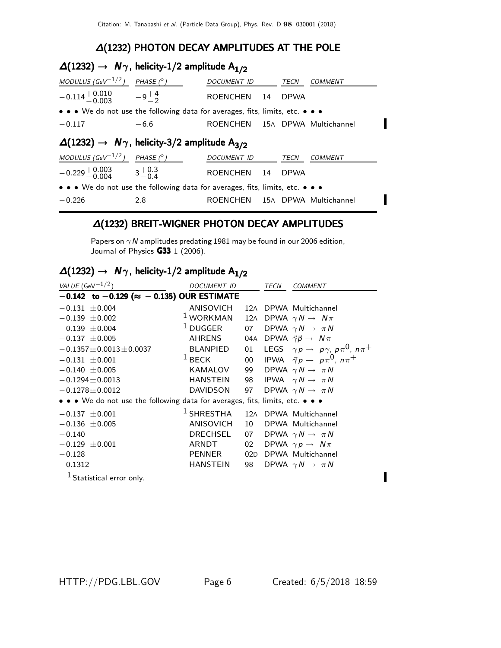### ∆(1232) PHOTON DECAY AMPLITUDES AT THE POLE

# $\Delta(1232)$  →  $N\gamma$ , helicity-1/2 amplitude  $A_{1/2}$

| MODULUS (GeV $^{-1/2}$ )                                                      | PHASE $(^\circ)$ | DOCUMENT ID                    |      | TECN        | COMMENT |  |  |
|-------------------------------------------------------------------------------|------------------|--------------------------------|------|-------------|---------|--|--|
| $-0.114 + 0.010 -9 + 4 -0.003 -1$                                             |                  | ROENCHEN 14                    |      | <b>DPWA</b> |         |  |  |
| • • • We do not use the following data for averages, fits, limits, etc. • • • |                  |                                |      |             |         |  |  |
| $-0.117$                                                                      | $-6.6$           | ROENCHEN 15A DPWA Multichannel |      |             |         |  |  |
| $\Delta(1232) \rightarrow N\gamma$ , helicity-3/2 amplitude A <sub>3/2</sub>  |                  |                                |      |             |         |  |  |
| MODULUS (GeV $^{-1/2}$ )                                                      | PHASE $(^\circ)$ | DOCUMENT ID                    |      | TECN        | COMMENT |  |  |
| $-0.229 + 0.003 + 0.3$<br>$-0.004$ $3 + 0.3$                                  |                  | <b>ROENCHEN</b>                | - 14 | <b>DPWA</b> |         |  |  |
| • • • We do not use the following data for averages, fits, limits, etc. • • • |                  |                                |      |             |         |  |  |
| $-0.226$                                                                      | 2.8              | ROENCHEN 15A DPWA Multichannel |      |             |         |  |  |

#### ∆(1232) BREIT-WIGNER PHOTON DECAY AMPLITUDES

Papers on  $\gamma N$  amplitudes predating 1981 may be found in our 2006 edition, Journal of Physics **G33** 1 (2006).

# $\Delta(1232)$  →  $N\gamma$ , helicity-1/2 amplitude  $A_{1/2}$

| VALUE (GeV $^{-1/2}$ )                                                        | DOCUMENT ID         |     | TECN | COMMENT                                                      |
|-------------------------------------------------------------------------------|---------------------|-----|------|--------------------------------------------------------------|
| $-0.142$ to $-0.129$ ( $\approx -0.135$ ) OUR ESTIMATE                        |                     |     |      |                                                              |
| $-0.131 \pm 0.004$                                                            | <b>ANISOVICH</b>    |     |      | 12A DPWA Multichannel                                        |
| $-0.139 \pm 0.002$                                                            | $1$ WORKMAN         |     |      | 12A DPWA $\gamma N \rightarrow N \pi$                        |
| $-0.139 \pm 0.004$                                                            | <sup>1</sup> DUGGER | 07  |      | DPWA $\gamma N \rightarrow \pi N$                            |
| $-0.137 \pm 0.005$                                                            | AHRENS              | 04A |      | DPWA $\vec{\gamma} \vec{p} \rightarrow N \pi$                |
| $-0.1357 \pm 0.0013 \pm 0.0037$                                               | BLANPIED            | 01  |      | LEGS $\gamma p \rightarrow p \gamma$ , $p \pi^0$ , $n \pi^+$ |
| $-0.131 + 0.001$                                                              | $1$ BECK            |     |      | 00 IPWA $\vec{\gamma} p \rightarrow p \pi^0$ , $n \pi^+$     |
| $-0.140 \pm 0.005$                                                            | KAMALOV             | 99  |      | DPWA $\gamma N \rightarrow \pi N$                            |
| $-0.1294 \pm 0.0013$                                                          | <b>HANSTEIN</b>     | 98  |      | IPWA $\gamma N \rightarrow \pi N$                            |
| $-0.1278 \pm 0.0012$                                                          | <b>DAVIDSON</b>     | 97  |      | DPWA $\gamma N \rightarrow \pi N$                            |
| • • • We do not use the following data for averages, fits, limits, etc. • • • |                     |     |      |                                                              |
| $-0.137 \pm 0.001$                                                            | $^1$ SHRESTHA       |     |      | 12A DPWA Multichannel                                        |
| $-0.136 \pm 0.005$                                                            | ANISOVICH           | 10  |      | DPWA Multichannel                                            |
| $-0.140$                                                                      | <b>DRECHSEL</b>     | 07  |      | DPWA $\gamma N \rightarrow \pi N$                            |
| $-0.129 \pm 0.001$                                                            | ARNDT               | 02  |      | DPWA $\gamma p \rightarrow N \pi$                            |
| $-0.128$                                                                      | <b>PENNER</b>       | 02D |      | DPWA Multichannel                                            |
| $-0.1312$                                                                     | HANSTEIN            | 98  |      | DPWA $\gamma N \rightarrow \pi N$                            |
| $1$ Statistical error only.                                                   |                     |     |      |                                                              |

HTTP://PDG.LBL.GOV Page 6 Created: 6/5/2018 18:59

Π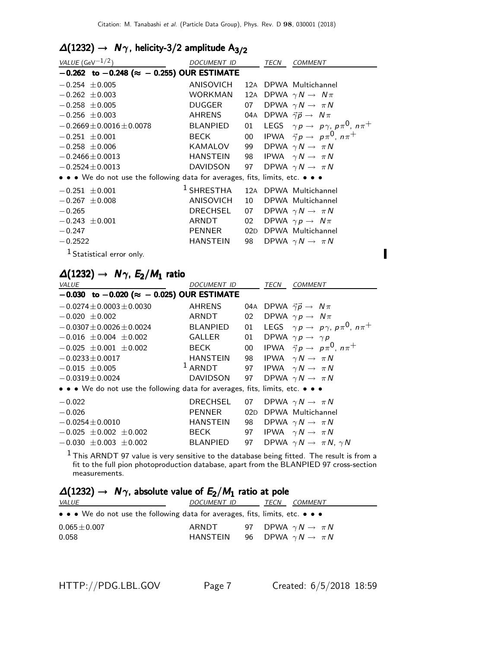# $\Delta(1232)$  →  $N\gamma$ , helicity-3/2 amplitude  $A_{3/2}$

| VALUE (GeV $^{-1/2}$ )                                                        | DOCUMENT ID                                 |    | TECN | <b>COMMENT</b>                                                  |
|-------------------------------------------------------------------------------|---------------------------------------------|----|------|-----------------------------------------------------------------|
| $-0.262$ to $-0.248$ ( $\approx -0.255$ ) OUR ESTIMATE                        |                                             |    |      |                                                                 |
| $-0.254 \pm 0.005$                                                            | ANISOVICH                                   |    |      | 12A DPWA Multichannel                                           |
| $-0.262 \pm 0.003$                                                            | WORKMAN                                     |    |      | 12A DPWA $\gamma N \rightarrow N \pi$                           |
| $-0.258 \pm 0.005$                                                            | DUGGER                                      | 07 |      | DPWA $\gamma N \rightarrow \pi N$                               |
| $-0.256 \pm 0.003$                                                            | AHRENS                                      |    |      | 04A DPWA $\vec{\gamma} \vec{p} \rightarrow N \pi$               |
| $-0.2669 \pm 0.0016 \pm 0.0078$                                               | BLANPIED                                    |    |      | 01 LEGS $\gamma p \rightarrow p \gamma$ , $p \pi^0$ , $n \pi^+$ |
| $-0.251 + 0.001$                                                              | BECK                                        |    |      | 00 IPWA $\vec{\gamma} p \rightarrow p \pi^0$ , $n \pi^+$        |
| $-0.258 \pm 0.006$                                                            | KAMALOV                                     |    |      | 99 DPWA $\gamma N \rightarrow \pi N$                            |
| $-0.2466 \pm 0.0013$                                                          | HANSTEIN                                    |    |      | 98 IPWA $\gamma N \rightarrow \pi N$                            |
| $-0.2524 \pm 0.0013$                                                          | DAVIDSON                                    |    |      | 97 DPWA $\gamma N \rightarrow \pi N$                            |
| • • • We do not use the following data for averages, fits, limits, etc. • • • |                                             |    |      |                                                                 |
| $-0.251 \pm 0.001$                                                            | <sup>1</sup> SHRESTHA 12A DPWA Multichannel |    |      |                                                                 |
| $-0.267 \pm 0.008$                                                            | ANISOVICH                                   | 10 |      | DPWA Multichannel                                               |
| $-0.265$                                                                      | DRECHSEL                                    |    |      | 07 DPWA $\gamma N \rightarrow \pi N$                            |
| $-0.243 \pm 0.001$                                                            | ARNDT                                       |    |      | 02 DPWA $\gamma p \rightarrow N \pi$                            |
| $-0.247$                                                                      | PENNER                                      |    |      | 02D DPWA Multichannel                                           |
| $-0.2522$                                                                     | <b>HANSTEIN</b>                             | 98 |      | DPWA $\gamma N \rightarrow \pi N$                               |
| <sup>1</sup> Statistical error only.                                          |                                             |    |      |                                                                 |

# $\Delta(1232) \rightarrow N\gamma$ ,  $E_2/M_1$  ratio

| <b>VALUE</b>                                                                  | DOCUMENT ID                           |        | TECN | <b>COMMENT</b>                                               |
|-------------------------------------------------------------------------------|---------------------------------------|--------|------|--------------------------------------------------------------|
| $-0.030$ to $-0.020$ ( $\approx -0.025$ ) OUR ESTIMATE                        |                                       |        |      |                                                              |
| $-0.0274 \pm 0.0003 \pm 0.0030$                                               | <b>AHRENS</b>                         |        |      | 04A DPWA $\vec{\gamma} \vec{p} \rightarrow N \pi$            |
| $-0.020 \pm 0.002$                                                            | ARNDT                                 | 02     |      | DPWA $\gamma p \rightarrow N \pi$                            |
| $-0.0307 \pm 0.0026 \pm 0.0024$                                               | <b>BLANPIED</b>                       | 01     |      | LEGS $\gamma p \rightarrow p \gamma$ , $p \pi^0$ , $n \pi^+$ |
| $-0.016 \pm 0.004 \pm 0.002$                                                  | GALLER                                | 01     |      | DPWA $\gamma p \rightarrow \gamma p$                         |
| $-0.025 \pm 0.001 \pm 0.002$                                                  | BECK                                  | $00\,$ |      | IPWA $\vec{\gamma} p \rightarrow p \pi^0$ , $n \pi^+$        |
| $-0.0233 \pm 0.0017$                                                          | HANSTEIN                              |        |      | 98 IPWA $\gamma N \rightarrow \pi N$                         |
| $-0.015 \pm 0.005$                                                            | $1$ ARNDT                             |        |      | 97 IPWA $\gamma N \rightarrow \pi N$                         |
| $-0.0319 \pm 0.0024$                                                          | DAVIDSON 97 DPWA $\gamma N \to \pi N$ |        |      |                                                              |
| • • • We do not use the following data for averages, fits, limits, etc. • • • |                                       |        |      |                                                              |
| $-0.022$                                                                      | <b>DRECHSEL</b>                       | 07     |      | DPWA $\gamma N \rightarrow \pi N$                            |
| $-0.026$                                                                      | <b>PENNER</b>                         | 02D    |      | DPWA Multichannel                                            |
| $-0.0254 \pm 0.0010$                                                          | HANSTEIN                              | 98     |      | DPWA $\gamma N \rightarrow \pi N$                            |
| $-0.025 \pm 0.002 \pm 0.002$                                                  | BECK                                  | 97     |      | IPWA $\gamma N \rightarrow \pi N$                            |
| $-0.030 \pm 0.003 \pm 0.002$                                                  | <b>BLANPIED</b>                       | 97     |      | DPWA $\gamma N \rightarrow \pi N$ , $\gamma N$               |
|                                                                               |                                       |        |      |                                                              |

 $^{\rm 1}$  This ARNDT 97 value is very sensitive to the database being fitted. The result is from a fit to the full pion photoproduction database, apart from the BLANPIED 97 cross-section measurements.

## $\Delta(1232) \rightarrow N \gamma$ , absolute value of  $E_2/M_1$  ratio at pole

| <i>VALUE</i>                                                                  | <i>DOCUMENT ID</i> | COMMENT<br>TECN                      |
|-------------------------------------------------------------------------------|--------------------|--------------------------------------|
| • • • We do not use the following data for averages, fits, limits, etc. • • • |                    |                                      |
| $0.065 \pm 0.007$                                                             | ARNDT              | 97 DPWA $\gamma N \rightarrow \pi N$ |
| 0.058                                                                         | HANSTEIN           | 96 DPWA $\gamma N \to \pi N$         |

 $\blacksquare$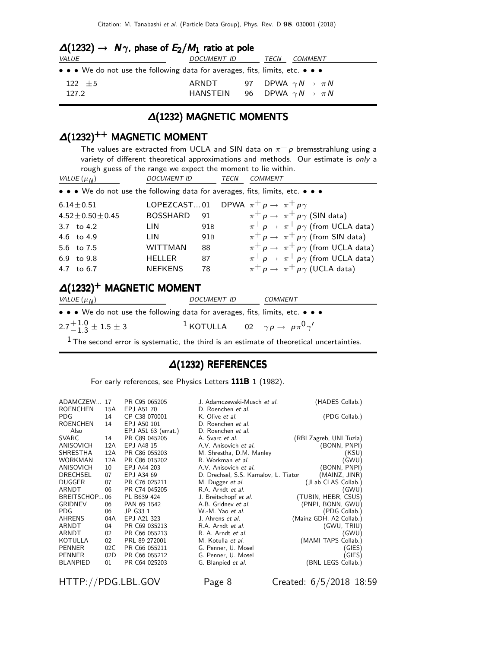| $\Delta(1232) \rightarrow N\gamma$ , phase of $E_2/M_1$ ratio at pole         |             |  |                                               |  |  |  |
|-------------------------------------------------------------------------------|-------------|--|-----------------------------------------------|--|--|--|
| <i>VALUE</i>                                                                  | DOCUMENT ID |  | <i>COMMENT</i><br>TECN                        |  |  |  |
| • • • We do not use the following data for averages, fits, limits, etc. • • • |             |  |                                               |  |  |  |
| $-122 \pm 5$                                                                  |             |  | ARNDT 97 DPWA $\gamma N \rightarrow \pi N$    |  |  |  |
| $-127.2$                                                                      |             |  | HANSTEIN 96 DPWA $\gamma N \rightarrow \pi N$ |  |  |  |

### ∆(1232) MAGNETIC MOMENTS

### $\Delta(1232)^{++}$  MAGNETIC MOMENT

The values are extracted from UCLA and SIN data on  $\pi^+ p$  bremsstrahlung using a variety of different theoretical approximations and methods. Our estimate is only a rough guess of the range we expect the moment to lie within.

| VALUE $(\mu_N)$          | <b>DOCUMENT ID</b> |                 | <b>TECN</b> | <b>COMMENT</b>                                                                |
|--------------------------|--------------------|-----------------|-------------|-------------------------------------------------------------------------------|
|                          |                    |                 |             | • • • We do not use the following data for averages, fits, limits, etc. • • • |
| $6.14 \pm 0.51$          |                    |                 |             | LOPEZCAST01 DPWA $\pi^+ p \rightarrow \pi^+ p \gamma$                         |
| $4.52 \pm 0.50 \pm 0.45$ | <b>BOSSHARD</b>    | 91              |             | $\pi^+ p \rightarrow \pi^+ p \gamma$ (SIN data)                               |
| 3.7 to $4.2$             | LIN                | 91 <sub>B</sub> |             | $\pi^+ p \rightarrow \pi^+ p \gamma$ (from UCLA data)                         |
| 4.6 to 4.9               | LIN                | 91 <sub>B</sub> |             | $\pi^+ p \rightarrow \pi^+ p \gamma$ (from SIN data)                          |
| 5.6 to 7.5               | WITTMAN            | 88              |             | $\pi^+ p \rightarrow \pi^+ p \gamma$ (from UCLA data)                         |
| 6.9 to 9.8               | <b>HELLER</b>      | 87              |             | $\pi^+ p \rightarrow \pi^+ p \gamma$ (from UCLA data)                         |
| 4.7 to 6.7               | <b>NEFKENS</b>     | 78              |             | $\pi^+ p \rightarrow \pi^+ p \gamma$ (UCLA data)                              |

#### $\Delta(1232)^+$  MAGNETIC MOMENT

| VALUE $(\mu_N)$                                                               | DOCUMENT ID                                                            | COMMENT |  |
|-------------------------------------------------------------------------------|------------------------------------------------------------------------|---------|--|
| • • • We do not use the following data for averages, fits, limits, etc. • • • |                                                                        |         |  |
| $2.7^{+1.0}_{-1.3}$ ± 1.5 ± 3                                                 | <sup>1</sup> KOTULLA 02 $\gamma p \rightarrow p \pi^0 \gamma^{\prime}$ |         |  |

 $<sup>1</sup>$  The second error is systematic, the third is an estimate of theoretical uncertainties.</sup>

#### ∆(1232) REFERENCES

For early references, see Physics Letters 111B 1 (1982).

| ADAMCZEW          | 17  | PR C95 065205       | J. Adamczewski-Musch et al.          | (HADES Collab.)         |
|-------------------|-----|---------------------|--------------------------------------|-------------------------|
| <b>ROENCHEN</b>   | 15A | EPJ A51 70          | D. Roenchen <i>et al.</i>            |                         |
| PDG.              | 14  | CP C38 070001       | K. Olive et al.                      | (PDG Collab.)           |
| <b>ROENCHEN</b>   | 14  | EPJ A50 101         | D. Roenchen et al.                   |                         |
| Also              |     | EPJ A51 63 (errat.) | D. Roenchen et al.                   |                         |
| <b>SVARC</b>      | 14  | PR C89 045205       | A. Svarc et al.                      | (RBI Zagreb, UNI Tuzla) |
| ANISOVICH         | 12A | EPJ A48 15          | A.V. Anisovich et al.                | (BONN, PNPI)            |
| SHRESTHA          | 12A | PR C86 055203       | M. Shrestha, D.M. Manley             | (KSU)                   |
| WORKMAN           | 12A | PR C86 015202       | R. Workman et al.                    | (GWU)                   |
| ANISOVICH         | 10  | EPJ A44 203         | A.V. Anisovich et al.                | (BONN, PNPI)            |
| <b>DRECHSEL</b>   | 07  | EPJ A34 69          | D. Drechsel, S.S. Kamalov, L. Tiator | (MAINZ, JINR)           |
| <b>DUGGER</b>     | 07  | PR C76 025211       | M. Dugger et al.                     | (JLab CLAS Collab.)     |
| ARNDT             | 06  | PR C74 045205       | R.A. Arndt et al.                    | (GWU)                   |
| <b>BREITSCHOP</b> | 06  | PL B639 424         | J. Breitschopf et al.                | (TUBIN, HEBR, CSUS)     |
| <b>GRIDNEV</b>    | 06  | PAN 69 1542         | A.B. Gridney <i>et al.</i>           | (PNPI, BONN, GWU)       |
| PDG.              | 06  | JP G33 1            | W.-M. Yao et al.                     | (PDG Collab.)           |
| AHRENS            | 04A | EPJ A21 323         | J. Ahrens <i>et al.</i>              | (Mainz GDH, A2 Collab.) |
| ARNDT             | 04  | PR C69 035213       | R.A. Arndt et al.                    | (GWU, TRIU)             |
| ARNDT             | 02  | PR C66 055213       | R. A. Arndt et al.                   | (GWU)                   |
| <b>KOTULLA</b>    | 02  | PRL 89 272001       | M. Kotulla et al.                    | (MAMI TAPS Collab.)     |
| <b>PENNER</b>     | 02C | PR C66 055211       | G. Penner, U. Mosel                  | GIES)                   |
| <b>PENNER</b>     | 02D | PR C66 055212       | G. Penner, U. Mosel                  | (GIES)                  |
| <b>BLANPIED</b>   | 01  | PR C64 025203       | G. Blanpied et al.                   | (BNL LEGS Collab.)      |
|                   |     |                     |                                      |                         |

HTTP://PDG.LBL.GOV Page 8 Created: 6/5/2018 18:59